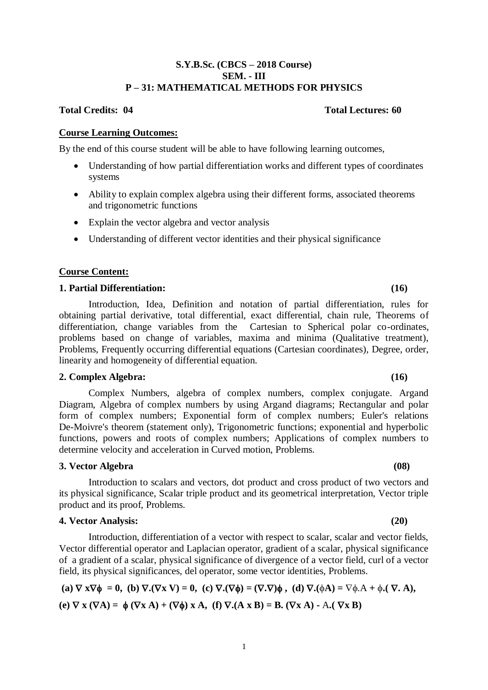### **S.Y.B.Sc. (CBCS – 2018 Course) SEM. - III P – 31: MATHEMATICAL METHODS FOR PHYSICS**

### **Total Credits: 04 Total Lectures: 60**

#### **Course Learning Outcomes:**

By the end of this course student will be able to have following learning outcomes,

- Understanding of how partial differentiation works and different types of coordinates systems
- Ability to explain complex algebra using their different forms, associated theorems and trigonometric functions
- Explain the vector algebra and vector analysis
- Understanding of different vector identities and their physical significance

#### **Course Content:**

#### **1. Partial Differentiation: (16)**

Introduction, Idea, Definition and notation of partial differentiation, rules for obtaining partial derivative, total differential, exact differential, chain rule, Theorems of differentiation, change variables from the Cartesian to Spherical polar co-ordinates, problems based on change of variables, maxima and minima (Qualitative treatment), Problems, Frequently occurring differential equations (Cartesian coordinates), Degree, order, linearity and homogeneity of differential equation.

#### **2. Complex Algebra: (16)**

Complex Numbers, algebra of complex numbers, complex conjugate. Argand Diagram, Algebra of complex numbers by using Argand diagrams; Rectangular and polar form of complex numbers; Exponential form of complex numbers; Euler's relations De-Moivre's theorem (statement only), Trigonometric functions; exponential and hyperbolic functions, powers and roots of complex numbers; Applications of complex numbers to determine velocity and acceleration in Curved motion, Problems.

#### **3. Vector Algebra (08)**

Introduction to scalars and vectors, dot product and cross product of two vectors and its physical significance, Scalar triple product and its geometrical interpretation, Vector triple product and its proof, Problems.

#### **4. Vector Analysis: (20)**

Introduction, differentiation of a vector with respect to scalar, scalar and vector fields, Vector differential operator and Laplacian operator, gradient of a scalar, physical significance of a gradient of a scalar, physical significance of divergence of a vector field, curl of a vector field, its physical significances, del operator, some vector identities, Problems.

(a) 
$$
\nabla \mathbf{x} \nabla \phi = 0
$$
, (b)  $\nabla \mathbf{.} (\nabla \mathbf{x} \mathbf{V}) = 0$ , (c)  $\nabla \mathbf{.} (\nabla \phi) = (\nabla \mathbf{.} \nabla) \phi$ , (d)  $\nabla \mathbf{.} (\phi \mathbf{A}) = \nabla \phi \mathbf{.} \mathbf{A} + \phi \mathbf{.} (\nabla \mathbf{.} \mathbf{A})$ ,  
(e)  $\nabla \mathbf{x} (\nabla \mathbf{A}) = \phi (\nabla \mathbf{x} \mathbf{A}) + (\nabla \phi) \mathbf{x} \mathbf{A}$ , (f)  $\nabla \mathbf{.} (\mathbf{A} \mathbf{x} \mathbf{B}) = \mathbf{B}$ .  $(\nabla \mathbf{x} \mathbf{A}) - \mathbf{A} \mathbf{.} (\nabla \mathbf{x} \mathbf{B})$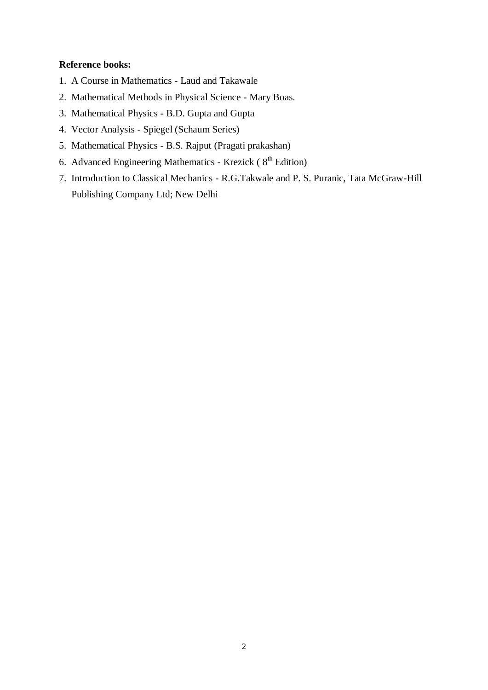## **Reference books:**

- 1. A Course in Mathematics Laud and Takawale
- 2. Mathematical Methods in Physical Science Mary Boas.
- 3. Mathematical Physics B.D. Gupta and Gupta
- 4. Vector Analysis Spiegel (Schaum Series)
- 5. Mathematical Physics B.S. Rajput (Pragati prakashan)
- 6. Advanced Engineering Mathematics Krezick ( $8<sup>th</sup>$  Edition)
- 7. Introduction to Classical Mechanics R.G.Takwale and P. S. Puranic, Tata McGraw-Hill Publishing Company Ltd; New Delhi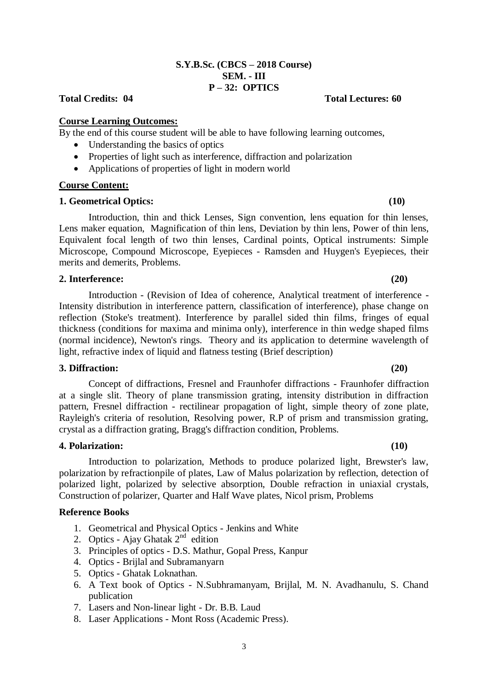#### **S.Y.B.Sc. (CBCS – 2018 Course) SEM. - III P – 32: OPTICS**

### **Course Learning Outcomes:**

By the end of this course student will be able to have following learning outcomes,

- Understanding the basics of optics
- Properties of light such as interference, diffraction and polarization
- Applications of properties of light in modern world

#### **Course Content:**

#### **1. Geometrical Optics: (10)**

Introduction, thin and thick Lenses, Sign convention, lens equation for thin lenses, Lens maker equation, Magnification of thin lens, Deviation by thin lens, Power of thin lens, Equivalent focal length of two thin lenses, Cardinal points, Optical instruments: Simple Microscope, Compound Microscope, Eyepieces - Ramsden and Huygen's Eyepieces, their merits and demerits, Problems.

#### **2. Interference: (20)**

Introduction - (Revision of Idea of coherence, Analytical treatment of interference - Intensity distribution in interference pattern, classification of interference), phase change on reflection (Stoke's treatment). Interference by parallel sided thin films, fringes of equal thickness (conditions for maxima and minima only), interference in thin wedge shaped films (normal incidence), Newton's rings. Theory and its application to determine wavelength of light, refractive index of liquid and flatness testing (Brief description)

#### **3. Diffraction: (20)**

Concept of diffractions, Fresnel and Fraunhofer diffractions - Fraunhofer diffraction at a single slit. Theory of plane transmission grating, intensity distribution in diffraction pattern, Fresnel diffraction - rectilinear propagation of light, simple theory of zone plate, Rayleigh's criteria of resolution, Resolving power, R.P of prism and transmission grating, crystal as a diffraction grating, Bragg's diffraction condition, Problems.

#### **4. Polarization: (10)**

Introduction to polarization, Methods to produce polarized light, Brewster's law, polarization by refractionpile of plates, Law of Malus polarization by reflection, detection of polarized light, polarized by selective absorption, Double refraction in uniaxial crystals, Construction of polarizer, Quarter and Half Wave plates, Nicol prism, Problems

#### **Reference Books**

- 1. Geometrical and Physical Optics Jenkins and White
- 2. Optics Ajay Ghatak  $2<sup>nd</sup>$  edition
- 3. Principles of optics D.S. Mathur, Gopal Press, Kanpur
- 4. Optics Brijlal and Subramanyarn
- 5. Optics Ghatak Loknathan.
- 6. A Text book of Optics N.Subhramanyam, Brijlal, M. N. Avadhanulu, S. Chand publication
- 7. Lasers and Non-linear light Dr. B.B. Laud
- 8. Laser Applications Mont Ross (Academic Press).

#### **Total Credits: 04 Total Lectures: 60**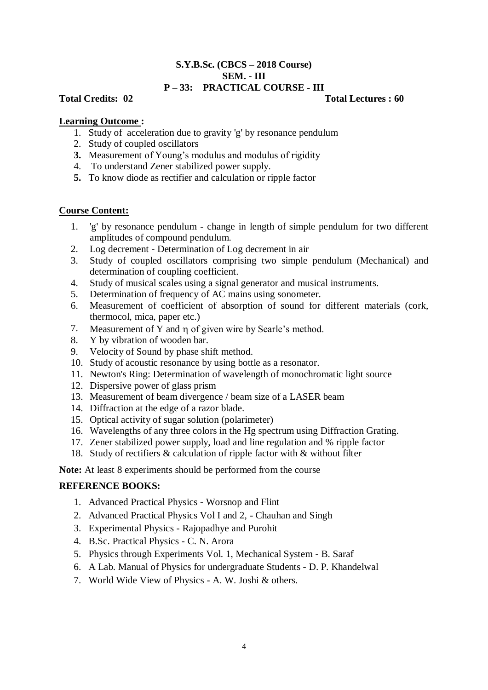#### **S.Y.B.Sc. (CBCS – 2018 Course) SEM. - III P – 33: PRACTICAL COURSE - III**

**Total Credits: 02 Total Lectures : 60**

## **Learning Outcome :**

- 1. Study of acceleration due to gravity 'g' by resonance pendulum
- 2. Study of coupled oscillators
- **3.** Measurement of Young's modulus and modulus of rigidity
- 4. To understand Zener stabilized power supply.
- **5.** To know diode as rectifier and calculation or ripple factor

## **Course Content:**

- 1. 'g' by resonance pendulum change in length of simple pendulum for two different amplitudes of compound pendulum.
- 2. Log decrement Determination of Log decrement in air
- 3. Study of coupled oscillators comprising two simple pendulum (Mechanical) and determination of coupling coefficient.
- 4. Study of musical scales using a signal generator and musical instruments.
- 5. Determination of frequency of AC mains using sonometer.
- 6. Measurement of coefficient of absorption of sound for different materials (cork, thermocol, mica, paper etc.)
- 7. Measurement of Y and n of given wire by Searle's method.
- 8. Y by vibration of wooden bar.
- 9. Velocity of Sound by phase shift method.
- 10. Study of acoustic resonance by using bottle as a resonator.
- 11. Newton's Ring: Determination of wavelength of monochromatic light source
- 12. Dispersive power of glass prism
- 13. Measurement of beam divergence / beam size of a LASER beam
- 14. Diffraction at the edge of a razor blade.
- 15. Optical activity of sugar solution (polarimeter)
- 16. Wavelengths of any three colors in the Hg spectrum using Diffraction Grating.
- 17. Zener stabilized power supply, load and line regulation and % ripple factor
- 18. Study of rectifiers & calculation of ripple factor with & without filter

**Note:** At least 8 experiments should be performed from the course

## **REFERENCE BOOKS:**

- 1. Advanced Practical Physics Worsnop and Flint
- 2. Advanced Practical Physics Vol I and 2, Chauhan and Singh
- 3. Experimental Physics Rajopadhye and Purohit
- 4. B.Sc. Practical Physics C. N. Arora
- 5. Physics through Experiments Vol. 1, Mechanical System B. Saraf
- 6. A Lab. Manual of Physics for undergraduate Students D. P. Khandelwal
- 7. World Wide View of Physics A. W. Joshi & others.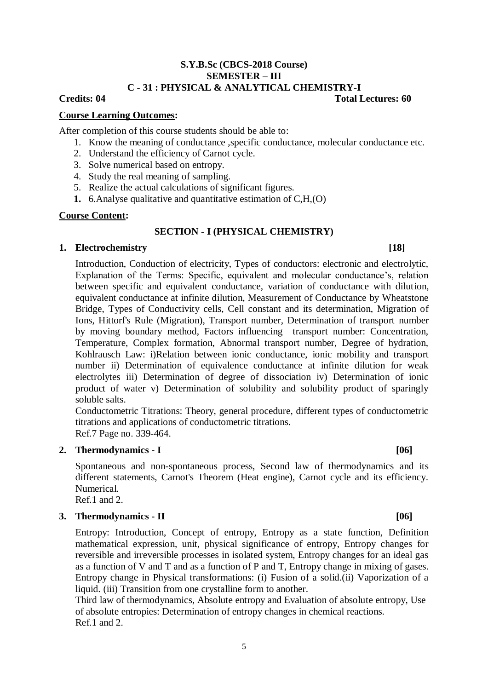#### **S.Y.B.Sc (CBCS-2018 Course) SEMESTER – III C - 31 : PHYSICAL & ANALYTICAL CHEMISTRY-I**

## **Credits: 04 Total Lectures: 60**

#### **Course Learning Outcomes:**

After completion of this course students should be able to:

- 1. Know the meaning of conductance ,specific conductance, molecular conductance etc.
- 2. Understand the efficiency of Carnot cycle.
- 3. Solve numerical based on entropy.
- 4. Study the real meaning of sampling.
- 5. Realize the actual calculations of significant figures.
- **1.** 6.Analyse qualitative and quantitative estimation of C,H,(O)

#### **Course Content:**

## **SECTION - I (PHYSICAL CHEMISTRY)**

#### **1. Electrochemistry [18]**

Introduction, Conduction of electricity, Types of conductors: electronic and electrolytic, Explanation of the Terms: Specific, equivalent and molecular conductance's, relation between specific and equivalent conductance, variation of conductance with dilution, equivalent conductance at infinite dilution, Measurement of Conductance by Wheatstone Bridge, Types of Conductivity cells, Cell constant and its determination, Migration of Ions, Hittorf's Rule (Migration), Transport number, Determination of transport number by moving boundary method, Factors influencing transport number: Concentration, Temperature, Complex formation, Abnormal transport number, Degree of hydration, Kohlrausch Law: i)Relation between ionic conductance, ionic mobility and transport number ii) Determination of equivalence conductance at infinite dilution for weak electrolytes iii) Determination of degree of dissociation iv) Determination of ionic product of water v) Determination of solubility and solubility product of sparingly soluble salts.

Conductometric Titrations: Theory, general procedure, different types of conductometric titrations and applications of conductometric titrations. Ref.7 Page no. 339-464.

### **2. Thermodynamics - I [06]**

Spontaneous and non-spontaneous process, Second law of thermodynamics and its different statements, Carnot's Theorem (Heat engine), Carnot cycle and its efficiency. Numerical.

Ref.1 and 2.

## **3. Thermodynamics - II [06]**

Entropy: Introduction, Concept of entropy, Entropy as a state function, Definition mathematical expression, unit, physical significance of entropy, Entropy changes for reversible and irreversible processes in isolated system, Entropy changes for an ideal gas as a function of V and T and as a function of P and T, Entropy change in mixing of gases. Entropy change in Physical transformations: (i) Fusion of a solid.(ii) Vaporization of a liquid. (iii) Transition from one crystalline form to another.

Third law of thermodynamics, Absolute entropy and Evaluation of absolute entropy, Use of absolute entropies: Determination of entropy changes in chemical reactions. Ref.1 and 2.

## 5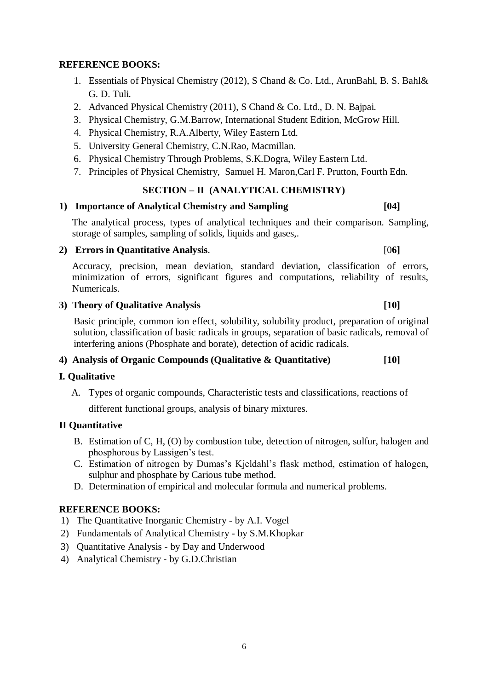## **REFERENCE BOOKS:**

- 1. Essentials of Physical Chemistry (2012), S Chand & Co. Ltd., ArunBahl, B. S. Bahl& G. D. Tuli.
- 2. Advanced Physical Chemistry (2011), S Chand & Co. Ltd., D. N. Bajpai.
- 3. Physical Chemistry, G.M.Barrow, International Student Edition, McGrow Hill.
- 4. Physical Chemistry, R.A.Alberty, Wiley Eastern Ltd.
- 5. University General Chemistry, C.N.Rao, Macmillan.
- 6. Physical Chemistry Through Problems, S.K.Dogra, Wiley Eastern Ltd.
- 7. Principles of Physical Chemistry, Samuel H. Maron,Carl F. Prutton, Fourth Edn.

## **SECTION – II (ANALYTICAL CHEMISTRY)**

## **1) Importance of Analytical Chemistry and Sampling [04]**

The analytical process, types of analytical techniques and their comparison. Sampling, storage of samples, sampling of solids, liquids and gases,.

## **2) Errors in Quantitative Analysis**. [0**6]**

Accuracy, precision, mean deviation, standard deviation, classification of errors, minimization of errors, significant figures and computations, reliability of results, Numericals.

## **3) Theory of Qualitative Analysis [10]**

Basic principle, common ion effect, solubility, solubility product, preparation of original solution, classification of basic radicals in groups, separation of basic radicals, removal of interfering anions (Phosphate and borate), detection of acidic radicals.

### **4) Analysis of Organic Compounds (Qualitative & Quantitative) [10]**

### **I. Qualitative**

A. Types of organic compounds, Characteristic tests and classifications, reactions of

different functional groups, analysis of binary mixtures.

### **II Quantitative**

- B. Estimation of C, H, (O) by combustion tube, detection of nitrogen, sulfur, halogen and phosphorous by Lassigen's test.
- C. Estimation of nitrogen by Dumas's Kjeldahl's flask method, estimation of halogen, sulphur and phosphate by Carious tube method.
- D. Determination of empirical and molecular formula and numerical problems.

### **REFERENCE BOOKS:**

- 1) The Quantitative Inorganic Chemistry by A.I. Vogel
- 2) Fundamentals of Analytical Chemistry by S.M.Khopkar
- 3) Quantitative Analysis by Day and Underwood
- 4) Analytical Chemistry by G.D.Christian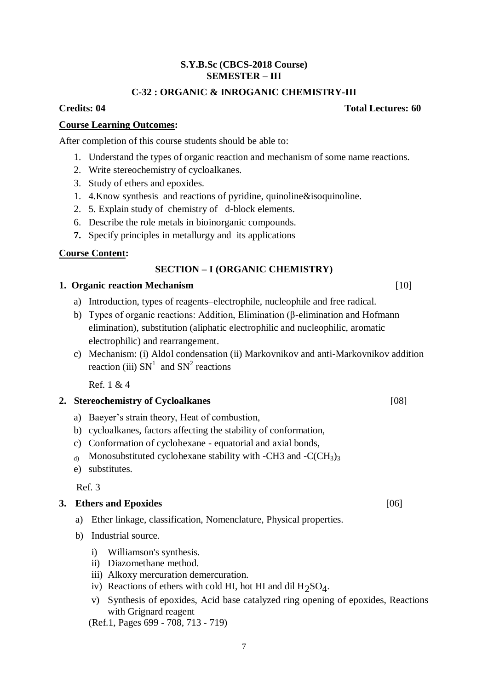#### **S.Y.B.Sc (CBCS-2018 Course) SEMESTER – III**

## **C-32 : ORGANIC & INROGANIC CHEMISTRY-III**

## **Course Learning Outcomes:**

After completion of this course students should be able to:

- 1. Understand the types of organic reaction and mechanism of some name reactions.
- 2. Write stereochemistry of cycloalkanes.
- 3. Study of ethers and epoxides.
- 1. 4.Know synthesis and reactions of pyridine, quinoline&isoquinoline.
- 2. 5. Explain study of chemistry of d-block elements.
- 6. Describe the role metals in bioinorganic compounds.
- **7.** Specify principles in metallurgy and its applications

## **Course Content:**

## **SECTION – I (ORGANIC CHEMISTRY)**

### **1. Organic reaction Mechanism** [10]

- a) Introduction, types of reagents–electrophile, nucleophile and free radical.
- b) Types of organic reactions: Addition, Elimination (β-elimination and Hofmann elimination), substitution (aliphatic electrophilic and nucleophilic, aromatic electrophilic) and rearrangement.
- c) Mechanism: (i) Aldol condensation (ii) Markovnikov and anti-Markovnikov addition reaction (iii)  $SN<sup>1</sup>$  and  $SN<sup>2</sup>$  reactions

Ref. 1  $& 4$ 

## **2. Stereochemistry of Cycloalkanes** [08]

- a) Baeyer's strain theory, Heat of combustion,
- b) cycloalkanes, factors affecting the stability of conformation,
- c) Conformation of cyclohexane equatorial and axial bonds,
- d) Monosubstituted cyclohexane stability with -CH3 and -C(CH<sub>3</sub>)<sub>3</sub>
- e) substitutes.

Ref. 3

### **3. Ethers and Epoxides** [06]

- a) Ether linkage, classification, Nomenclature, Physical properties.
- b) Industrial source.
	- i) Williamson's synthesis.
	- ii) Diazomethane method.
	- iii) Alkoxy mercuration demercuration.
	- iv) Reactions of ethers with cold HI, hot HI and dil  $H_2SO_4$ .
	- v) Synthesis of epoxides, Acid base catalyzed ring opening of epoxides, Reactions with Grignard reagent
	- (Ref.1, Pages 699 708, 713 719)

#### **Credits: 04 Total Lectures: 60**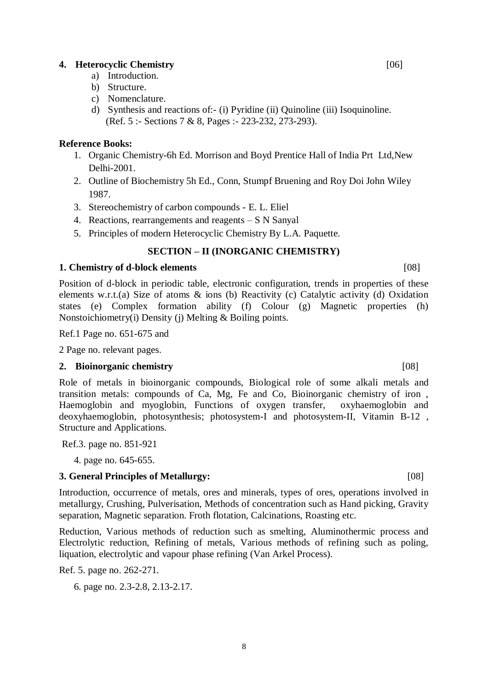#### 8

#### **4. Heterocyclic Chemistry** [06]

- a) Introduction.
- b) Structure.
- c) Nomenclature.
- d) Synthesis and reactions of:- (i) Pyridine (ii) Quinoline (iii) Isoquinoline. (Ref. 5 :- Sections 7 & 8, Pages :- 223-232, 273-293).

#### **Reference Books:**

- 1. Organic Chemistry-6h Ed. Morrison and Boyd Prentice Hall of India Prt Ltd,New Delhi-2001.
- 2. Outline of Biochemistry 5h Ed., Conn, Stumpf Bruening and Roy Doi John Wiley 1987.
- 3. Stereochemistry of carbon compounds E. L. Eliel
- 4. Reactions, rearrangements and reagents S N Sanyal
- 5. Principles of modern Heterocyclic Chemistry By L.A. Paquette.

### **SECTION – II (INORGANIC CHEMISTRY)**

#### **1. Chemistry of d-block elements** [08]

Position of d-block in periodic table, electronic configuration, trends in properties of these elements w.r.t.(a) Size of atoms & ions (b) Reactivity (c) Catalytic activity (d) Oxidation states (e) Complex formation ability (f) Colour (g) Magnetic properties (h) Nonstoichiometry(i) Density (j) Melting & Boiling points.

Ref.1 Page no. 651-675 and

2 Page no. relevant pages.

#### **2. Bioinorganic chemistry** [08]

Role of metals in bioinorganic compounds, Biological role of some alkali metals and transition metals: compounds of Ca, Mg, Fe and Co, Bioinorganic chemistry of iron , Haemoglobin and myoglobin, Functions of oxygen transfer, oxyhaemoglobin and deoxyhaemoglobin, photosynthesis; photosystem-I and photosystem-II, Vitamin B-12 , Structure and Applications.

Ref.3. page no. 851-921

4. page no. 645-655.

### **3. General Principles of Metallurgy:** [08]

Introduction, occurrence of metals, ores and minerals, types of ores, operations involved in metallurgy, Crushing, Pulverisation, Methods of concentration such as Hand picking, Gravity separation, Magnetic separation. Froth flotation, Calcinations, Roasting etc.

Reduction, Various methods of reduction such as smelting, Aluminothermic process and Electrolytic reduction, Refining of metals, Various methods of refining such as poling, liquation, electrolytic and vapour phase refining (Van Arkel Process).

Ref. 5. page no. 262-271.

6. page no. 2.3-2.8, 2.13-2.17.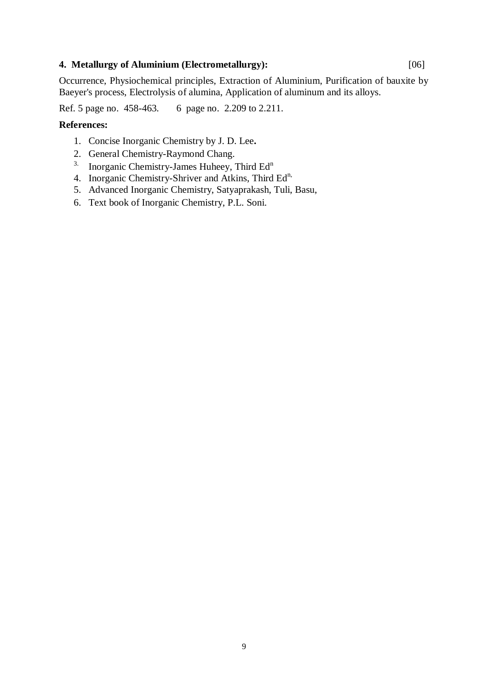#### **4. Metallurgy of Aluminium (Electrometallurgy):** [06]

Occurrence, Physiochemical principles, Extraction of Aluminium, Purification of bauxite by Baeyer's process, Electrolysis of alumina, Application of aluminum and its alloys.

Ref. 5 page no. 458-463. 6 page no. 2.209 to 2.211.

#### **References:**

- 1. Concise Inorganic Chemistry by J. D. Lee**.**
- 2. General Chemistry-Raymond Chang.
- <sup>3.</sup> Inorganic Chemistry-James Huheey, Third  $Ed<sup>n</sup>$
- 4. Inorganic Chemistry-Shriver and Atkins, Third Ed<sup>n,</sup>
- 5. Advanced Inorganic Chemistry, Satyaprakash, Tuli, Basu,
- 6. Text book of Inorganic Chemistry, P.L. Soni.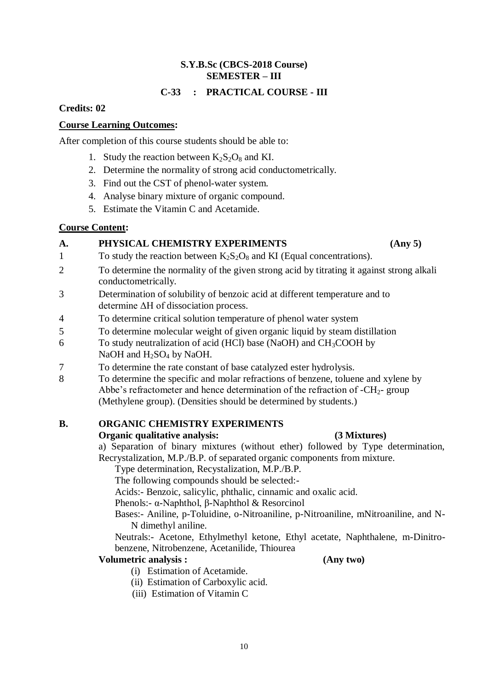### **S.Y.B.Sc (CBCS-2018 Course) SEMESTER – III**

## **C-33 : PRACTICAL COURSE - III**

## **Credits: 02**

## **Course Learning Outcomes:**

After completion of this course students should be able to:

- 1. Study the reaction between  $K_2S_2O_8$  and KI.
- 2. Determine the normality of strong acid conductometrically.
- 3. Find out the CST of phenol-water system.
- 4. Analyse binary mixture of organic compound.
- 5. Estimate the Vitamin C and Acetamide.

## **Course Content:**

## **A. PHYSICAL CHEMISTRY EXPERIMENTS (Any 5)**

- 1 To study the reaction between  $K_2S_2O_8$  and KI (Equal concentrations).
- 2 To determine the normality of the given strong acid by titrating it against strong alkali conductometrically.
- 3 Determination of solubility of benzoic acid at different temperature and to determine ΔH of dissociation process.
- 4 To determine critical solution temperature of phenol water system
- 5 To determine molecular weight of given organic liquid by steam distillation
- 6 To study neutralization of acid (HCl) base (NaOH) and  $CH<sub>3</sub>COOH$  by NaOH and H<sub>2</sub>SO<sub>4</sub> by NaOH.
- 7 To determine the rate constant of base catalyzed ester hydrolysis.
- 8 To determine the specific and molar refractions of benzene, toluene and xylene by Abbe's refractometer and hence determination of the refraction of  $-CH<sub>2</sub>$ - group (Methylene group). (Densities should be determined by students.)

### **B. ORGANIC CHEMISTRY EXPERIMENTS**

### **Organic qualitative analysis: (3 Mixtures)**

a) Separation of binary mixtures (without ether) followed by Type determination, Recrystalization, M.P./B.P. of separated organic components from mixture.

Type determination, Recystalization, M.P./B.P.

The following compounds should be selected:-

Acids:- Benzoic, salicylic, phthalic, cinnamic and oxalic acid.

Phenols:- α-Naphthol, β-Naphthol & Resorcinol

Bases:- Aniline, p-Toluidine, o-Nitroaniline, p-Nitroaniline, mNitroaniline, and N-N dimethyl aniline.

Neutrals:- Acetone, Ethylmethyl ketone, Ethyl acetate, Naphthalene, m-Dinitrobenzene, Nitrobenzene, Acetanilide, Thiourea

## **Volumetric analysis : (Any two)**

- (i) Estimation of Acetamide.
- (ii) Estimation of Carboxylic acid.
- (iii) Estimation of Vitamin C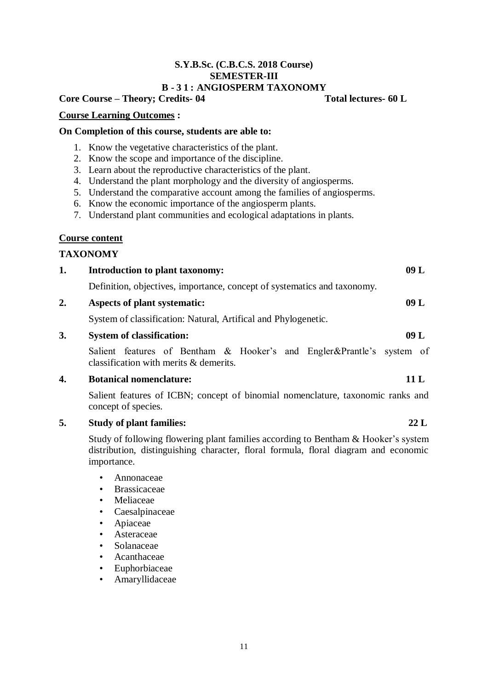#### **S.Y.B.Sc. (C.B.C.S. 2018 Course) SEMESTER-III B - 3 1 : ANGIOSPERM TAXONOMY**

## **Core Course – Theory; Credits- 04 Total lectures- 60 L**

#### **Course Learning Outcomes :**

#### **On Completion of this course, students are able to:**

- 1. Know the vegetative characteristics of the plant.
- 2. Know the scope and importance of the discipline.
- 3. Learn about the reproductive characteristics of the plant.
- 4. Understand the plant morphology and the diversity of angiosperms.
- 5. Understand the comparative account among the families of angiosperms.
- 6. Know the economic importance of the angiosperm plants.
- 7. Understand plant communities and ecological adaptations in plants.

#### **Course content**

### **TAXONOMY**

| <b>Introduction to plant taxonomy:</b>                                   | 09 L |
|--------------------------------------------------------------------------|------|
| Definition, objectives, importance, concept of systematics and taxonomy. |      |
| Aspects of plant systematic:                                             | 09 L |

System of classification: Natural, Artifical and Phylogenetic.

## **3. System of classification: 09 L**

Salient features of Bentham & Hooker's and Engler&Prantle's system of classification with merits & demerits.

#### **4. Botanical nomenclature: 11 L**

Salient features of ICBN; concept of binomial nomenclature, taxonomic ranks and concept of species.

### **5. Study of plant families: 22 L**

Study of following flowering plant families according to Bentham & Hooker's system distribution, distinguishing character, floral formula, floral diagram and economic importance.

- Annonaceae
- Brassicaceae
- **Meliaceae**
- Caesalpinaceae
- Apiaceae
- **Asteraceae**
- Solanaceae
- Acanthaceae
- Euphorbiaceae
- Amaryllidaceae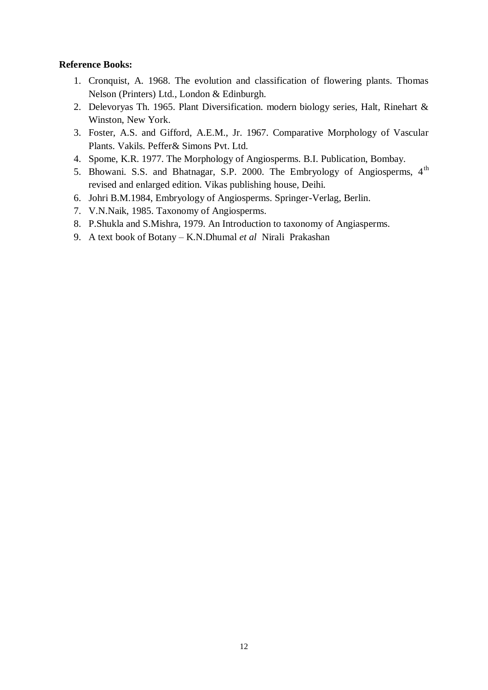## **Reference Books:**

- 1. Cronquist, A. 1968. The evolution and classification of flowering plants. Thomas Nelson (Printers) Ltd., London & Edinburgh.
- 2. Delevoryas Th. 1965. Plant Diversification. modern biology series, Halt, Rinehart & Winston, New York.
- 3. Foster, A.S. and Gifford, A.E.M., Jr. 1967. Comparative Morphology of Vascular Plants. Vakils. Peffer& Simons Pvt. Ltd.
- 4. Spome, K.R. 1977. The Morphology of Angiosperms. B.I. Publication, Bombay.
- 5. Bhowani. S.S. and Bhatnagar, S.P. 2000. The Embryology of Angiosperms, 4<sup>th</sup> revised and enlarged edition. Vikas publishing house, Deihi.
- 6. Johri B.M.1984, Embryology of Angiosperms. Springer-Verlag, Berlin.
- 7. V.N.Naik, 1985. Taxonomy of Angiosperms.
- 8. P.Shukla and S.Mishra, 1979. An Introduction to taxonomy of Angiasperms.
- 9. A text book of Botany K.N.Dhumal *et al* Nirali Prakashan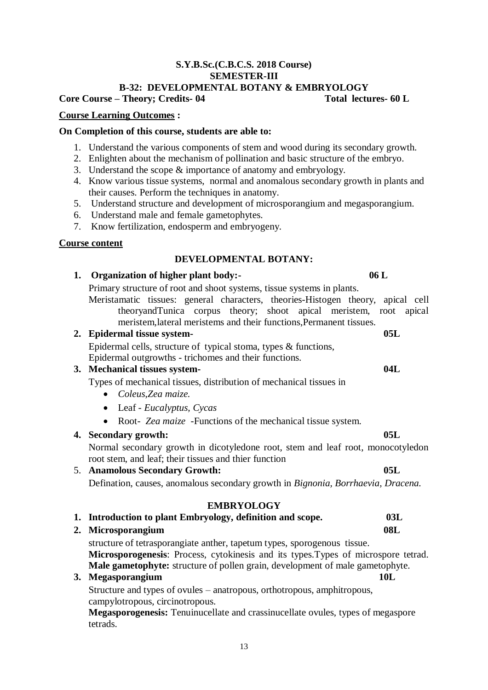## 13

#### **S.Y.B.Sc.(C.B.C.S. 2018 Course) SEMESTER-III B-32: DEVELOPMENTAL BOTANY & EMBRYOLOGY**

## **Core Course – Theory; Credits- 04 Total lectures- 60 L**

## **Course Learning Outcomes :**

## **On Completion of this course, students are able to:**

- 1. Understand the various components of stem and wood during its secondary growth.
- 2. Enlighten about the mechanism of pollination and basic structure of the embryo.
- 3. Understand the scope & importance of anatomy and embryology.
- 4. Know various tissue systems, normal and anomalous secondary growth in plants and their causes. Perform the techniques in anatomy.
- 5. Understand structure and development of microsporangium and megasporangium.
- 6. Understand male and female gametophytes.
- 7. Know fertilization, endosperm and embryogeny.

### **Course content**

## **DEVELOPMENTAL BOTANY:**

## **1. Organization of higher plant body:- 06 L**

Primary structure of root and shoot systems, tissue systems in plants.

Meristamatic tissues: general characters, theories-Histogen theory, apical cell theoryandTunica corpus theory; shoot apical meristem, root apical meristem,lateral meristems and their functions,Permanent tissues.

## **2. Epidermal tissue system- 05L**

Epidermal cells, structure of typical stoma, types & functions,

Epidermal outgrowths - trichomes and their functions.

## **3. Mechanical tissues system- 04L**

Types of mechanical tissues, distribution of mechanical tissues in

- *Coleus*,*Zea maize.*
- Leaf *Eucalyptus, Cycas*
- Root- *Zea maize* -Functions of the mechanical tissue system.

## **4. Secondary growth: 05L**

Normal secondary growth in dicotyledone root, stem and leaf root, monocotyledon root stem, and leaf; their tissues and thier function

## 5. **Anamolous Secondary Growth: 05L**

Defination, causes, anomalous secondary growth in *Bignonia, Borrhaevia, Dracena.*

## **EMBRYOLOGY**

- **1. Introduction to plant Embryology, definition and scope. 03L**
- **2. Microsporangium 08L**

structure of tetrasporangiate anther, tapetum types, sporogenous tissue. **Microsporogenesis**: Process, cytokinesis and its types.Types of microspore tetrad. **Male gametophyte:** structure of pollen grain, development of male gametophyte.

## **3. Megasporangium 10L**

Structure and types of ovules – anatropous, orthotropous, amphitropous, campylotropous, circinotropous.

**Megasporogenesis:** Tenuinucellate and crassinucellate ovules, types of megaspore tetrads.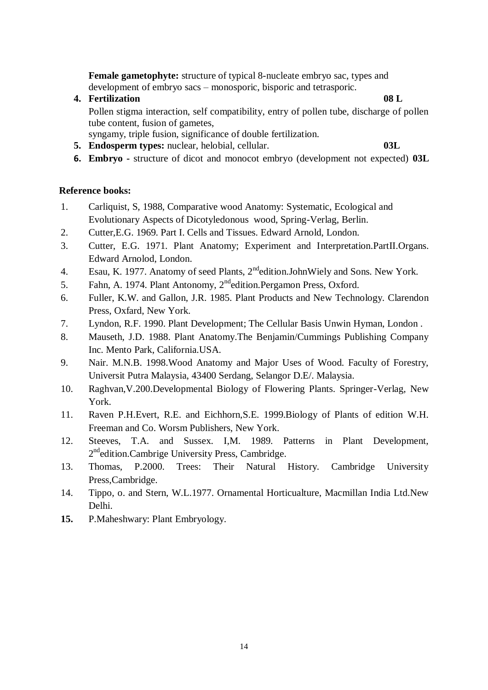**Female gametophyte:** structure of typical 8-nucleate embryo sac, types and development of embryo sacs – monosporic, bisporic and tetrasporic.

- **4. Fertilization 08 L** Pollen stigma interaction, self compatibility, entry of pollen tube, discharge of pollen tube content, fusion of gametes, syngamy, triple fusion, significance of double fertilization.
- **5. Endosperm types:** nuclear, helobial, cellular. **03L**

**6. Embryo -** structure of dicot and monocot embryo (development not expected) **03L**

## **Reference books:**

- 1. Carliquist, S, 1988, Comparative wood Anatomy: Systematic, Ecological and Evolutionary Aspects of Dicotyledonous wood, Spring-Verlag, Berlin.
- 2. Cutter,E.G. 1969. Part I. Cells and Tissues. Edward Arnold, London.
- 3. Cutter, E.G. 1971. Plant Anatomy; Experiment and Interpretation.PartII.Organs. Edward Arnolod, London.
- 4. Esau, K. 1977. Anatomy of seed Plants, 2<sup>nd</sup>edition.JohnWiely and Sons. New York.
- 5. Fahn, A. 1974. Plant Antonomy, 2ndedition.Pergamon Press, Oxford.
- 6. Fuller, K.W. and Gallon, J.R. 1985. Plant Products and New Technology. Clarendon Press, Oxfard, New York.
- 7. Lyndon, R.F. 1990. Plant Development; The Cellular Basis Unwin Hyman, London .
- 8. Mauseth, J.D. 1988. Plant Anatomy.The Benjamin/Cummings Publishing Company Inc. Mento Park, California.USA.
- 9. Nair. M.N.B. 1998.Wood Anatomy and Major Uses of Wood. Faculty of Forestry, Universit Putra Malaysia, 43400 Serdang, Selangor D.E/. Malaysia.
- 10. Raghvan,V.200.Developmental Biology of Flowering Plants. Springer-Verlag, New York.
- 11. Raven P.H.Evert, R.E. and Eichhorn,S.E. 1999.Biology of Plants of edition W.H. Freeman and Co. Worsm Publishers, New York.
- 12. Steeves, T.A. and Sussex. I,M. 1989. Patterns in Plant Development, 2<sup>nd</sup>edition.Cambrige University Press, Cambridge.
- 13. Thomas, P.2000. Trees: Their Natural History. Cambridge University Press,Cambridge.
- 14. Tippo, o. and Stern, W.L.1977. Ornamental Horticualture, Macmillan India Ltd.New Delhi.
- **15.** P.Maheshwary: Plant Embryology.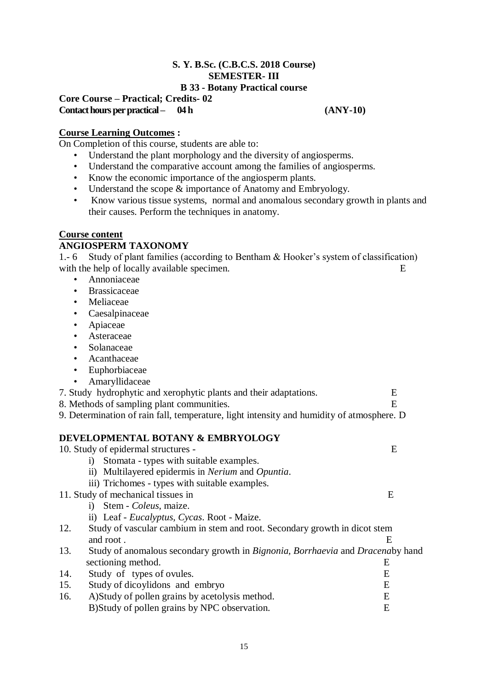### **S. Y. B.Sc. (C.B.C.S. 2018 Course) SEMESTER- III B 33 - Botany Practical course**

### **Core Course – Practical; Credits- 02 Contact hours per practical – 04 h (ANY-10)**

## **Course Learning Outcomes :**

On Completion of this course, students are able to:

- Understand the plant morphology and the diversity of angiosperms.
- Understand the comparative account among the families of angiosperms.
- Know the economic importance of the angiosperm plants.
- Understand the scope  $\&$  importance of Anatomy and Embryology.
- Know various tissue systems, normal and anomalous secondary growth in plants and their causes. Perform the techniques in anatomy.

## **Course content**

## **ANGIOSPERM TAXONOMY**

1.- 6 Study of plant families (according to Bentham & Hooker's system of classification) with the help of locally available specimen.

- Annoniaceae
- Brassicaceae
- Meliaceae
- Caesalpinaceae
- Apiaceae
- Asteraceae
- Solanaceae
- Acanthaceae
- Euphorbiaceae
- Amaryllidaceae

|  | 7. Study hydrophytic and xerophytic plants and their adaptations. |  |
|--|-------------------------------------------------------------------|--|
|  |                                                                   |  |

- 8. Methods of sampling plant communities. E
- 9. Determination of rain fall, temperature, light intensity and humidity of atmosphere. D

## **DEVELOPMENTAL BOTANY & EMBRYOLOGY**

|     | 10. Study of epidermal structures -                                            | Ε |
|-----|--------------------------------------------------------------------------------|---|
|     | Stomata - types with suitable examples.<br>$\bf{1)}$                           |   |
|     | ii) Multilayered epidermis in <i>Nerium</i> and <i>Opuntia</i> .               |   |
|     | iii) Trichomes - types with suitable examples.                                 |   |
|     | 11. Study of mechanical tissues in                                             | E |
|     | Stem - Coleus, maize.<br>i)                                                    |   |
|     | ii) Leaf - <i>Eucalyptus</i> , <i>Cycas</i> . Root - Maize.                    |   |
| 12. | Study of vascular cambium in stem and root. Secondary growth in dicot stem     |   |
|     | and root.                                                                      | E |
| 13. | Study of anomalous secondary growth in Bignonia, Borrhaevia and Dracenaby hand |   |
|     | sectioning method.                                                             | E |
| 14. | Study of types of ovules.                                                      | E |
| 15. | Study of dicoylidons and embryo                                                | E |
| 16. | A) Study of pollen grains by acetolysis method.                                | E |
|     | B) Study of pollen grains by NPC observation.                                  | E |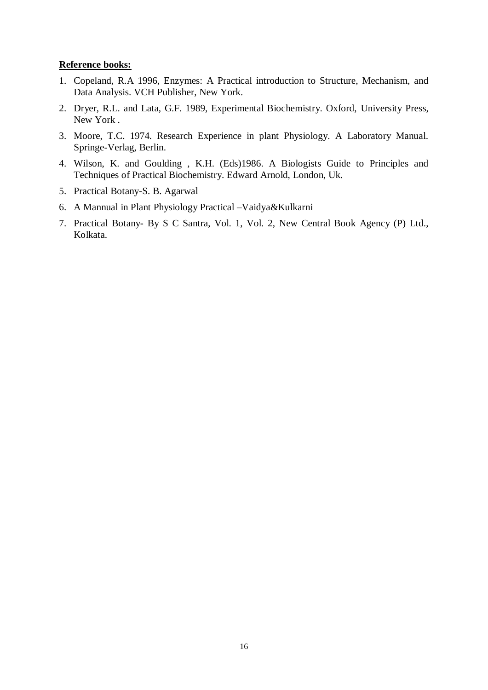#### **Reference books:**

- 1. Copeland, R.A 1996, Enzymes: A Practical introduction to Structure, Mechanism, and Data Analysis. VCH Publisher, New York.
- 2. Dryer, R.L. and Lata, G.F. 1989, Experimental Biochemistry. Oxford, University Press, New York .
- 3. Moore, T.C. 1974. Research Experience in plant Physiology. A Laboratory Manual. Springe-Verlag, Berlin.
- 4. Wilson, K. and Goulding , K.H. (Eds)1986. A Biologists Guide to Principles and Techniques of Practical Biochemistry. Edward Arnold, London, Uk.
- 5. Practical Botany-S. B. Agarwal
- 6. A Mannual in Plant Physiology Practical –Vaidya&Kulkarni
- 7. Practical Botany- By S C Santra, Vol. 1, Vol. 2, New Central Book Agency (P) Ltd., Kolkata.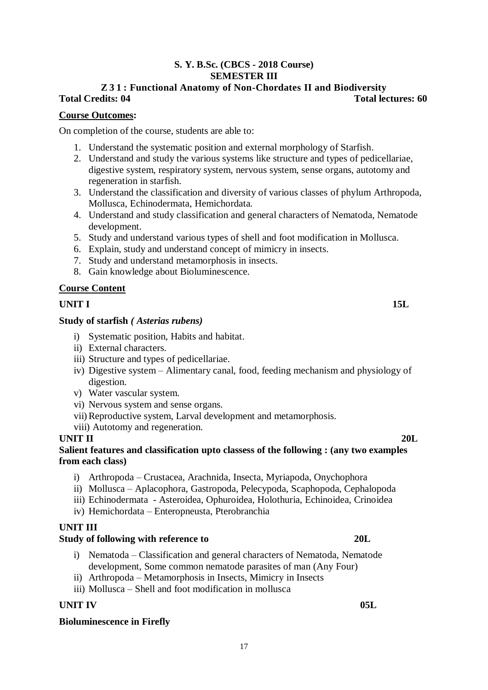## **S. Y. B.Sc. (CBCS - 2018 Course) SEMESTER III**

## **Z 3 1 : Functional Anatomy of Non-Chordates II and Biodiversity Total Credits: 04 Total lectures: 60**

## **Course Outcomes:**

On completion of the course, students are able to:

- 1. Understand the systematic position and external morphology of Starfish.
- 2. Understand and study the various systems like structure and types of pedicellariae, digestive system, respiratory system, nervous system, sense organs, autotomy and regeneration in starfish.
- 3. Understand the classification and diversity of various classes of phylum Arthropoda, Mollusca, Echinodermata, Hemichordata.
- 4. Understand and study classification and general characters of Nematoda, Nematode development.
- 5. Study and understand various types of shell and foot modification in Mollusca.
- 6. Explain, study and understand concept of mimicry in insects.
- 7. Study and understand metamorphosis in insects.
- 8. Gain knowledge about Bioluminescence.

## **Course Content**

## **UNIT I** 15L

### **Study of starfish** *( Asterias rubens)*

- i) Systematic position, Habits and habitat.
- ii) External characters.
- iii) Structure and types of pedicellariae.
- iv) Digestive system Alimentary canal, food, feeding mechanism and physiology of digestion.
- v) Water vascular system.
- vi) Nervous system and sense organs.
- vii)Reproductive system, Larval development and metamorphosis.
- viii) Autotomy and regeneration.

### **UNIT II 20L**

## **Salient features and classification upto classess of the following : (any two examples from each class)**

- i) Arthropoda Crustacea, Arachnida, Insecta, Myriapoda, Onychophora
- ii) Mollusca Aplacophora, Gastropoda, Pelecypoda, Scaphopoda, Cephalopoda
- iii) Echinodermata Asteroidea, Ophuroidea, Holothuria, Echinoidea, Crinoidea
- iv) Hemichordata Enteropneusta, Pterobranchia

## **UNIT III**

### **Study of following with reference to 20L**

- i) Nematoda Classification and general characters of Nematoda, Nematode development, Some common nematode parasites of man (Any Four)
- ii) Arthropoda Metamorphosis in Insects, Mimicry in Insects
- iii) Mollusca Shell and foot modification in mollusca

## **UNIT IV** 05L

### **Bioluminescence in Firefly**

17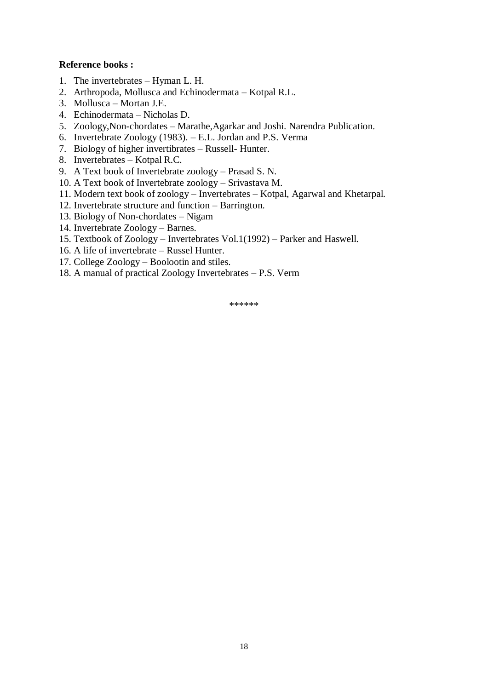## **Reference books :**

- 1. The invertebrates Hyman L. H.
- 2. Arthropoda, Mollusca and Echinodermata Kotpal R.L.
- 3. Mollusca Mortan J.E.
- 4. Echinodermata Nicholas D.
- 5. Zoology,Non-chordates Marathe,Agarkar and Joshi. Narendra Publication.
- 6. Invertebrate Zoology (1983). E.L. Jordan and P.S. Verma
- 7. Biology of higher invertibrates Russell- Hunter.
- 8. Invertebrates Kotpal R.C.
- 9. A Text book of Invertebrate zoology Prasad S. N.
- 10. A Text book of Invertebrate zoology Srivastava M.
- 11. Modern text book of zoology Invertebrates Kotpal, Agarwal and Khetarpal.
- 12. Invertebrate structure and function Barrington.
- 13. Biology of Non-chordates Nigam
- 14. Invertebrate Zoology Barnes.
- 15. Textbook of Zoology Invertebrates Vol.1(1992) Parker and Haswell.
- 16. A life of invertebrate Russel Hunter.
- 17. College Zoology Boolootin and stiles.
- 18. A manual of practical Zoology Invertebrates P.S. Verm

\*\*\*\*\*\*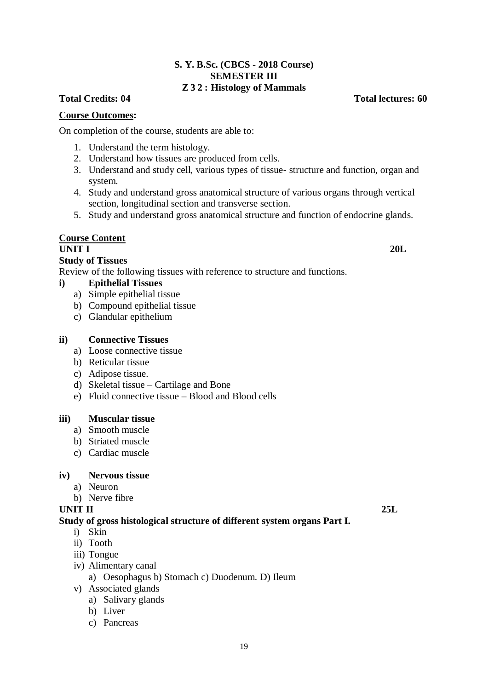## **S. Y. B.Sc. (CBCS - 2018 Course) SEMESTER III Z 3 2 : Histology of Mammals**

## **Total Credits: 04 Total lectures: 60**

### **Course Outcomes:**

On completion of the course, students are able to:

- 1. Understand the term histology.
- 2. Understand how tissues are produced from cells.
- 3. Understand and study cell, various types of tissue- structure and function, organ and system.
- 4. Study and understand gross anatomical structure of various organs through vertical section, longitudinal section and transverse section.
- 5. Study and understand gross anatomical structure and function of endocrine glands.

### **Course Content**

#### **UNIT I 20L**

#### **Study of Tissues**

Review of the following tissues with reference to structure and functions.

## **i) Epithelial Tissues**

- a) Simple epithelial tissue
- b) Compound epithelial tissue
- c) Glandular epithelium

#### **ii) Connective Tissues**

- a) Loose connective tissue
- b) Reticular tissue
- c) Adipose tissue.
- d) Skeletal tissue Cartilage and Bone
- e) Fluid connective tissue Blood and Blood cells

#### **iii) Muscular tissue**

- a) Smooth muscle
- b) Striated muscle
- c) Cardiac muscle

#### **iv) Nervous tissue**

- a) Neuron
- b) Nerve fibre

#### **UNIT II 25L**

#### **Study of gross histological structure of different system organs Part I.**

- i) Skin
- ii) Tooth
- iii) Tongue
- iv) Alimentary canal
	- a) Oesophagus b) Stomach c) Duodenum. D) Ileum
- v) Associated glands
	- a) Salivary glands
	- b) Liver
	- c) Pancreas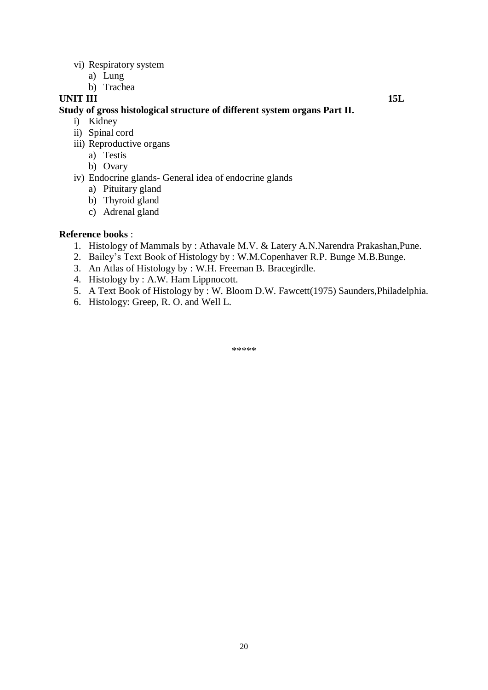- vi) Respiratory system
	- a) Lung
	- b) Trachea

## **UNIT III** 15L

### **Study of gross histological structure of different system organs Part II.**

- i) Kidney
- ii) Spinal cord
- iii) Reproductive organs
	- a) Testis
	- b) Ovary
- iv) Endocrine glands- General idea of endocrine glands
	- a) Pituitary gland
	- b) Thyroid gland
	- c) Adrenal gland

### **Reference books** :

- 1. Histology of Mammals by : Athavale M.V. & Latery A.N.Narendra Prakashan,Pune.
- 2. Bailey's Text Book of Histology by : W.M.Copenhaver R.P. Bunge M.B.Bunge.
- 3. An Atlas of Histology by : W.H. Freeman B. Bracegirdle.
- 4. Histology by : A.W. Ham Lippnocott.
- 5. A Text Book of Histology by : W. Bloom D.W. Fawcett(1975) Saunders,Philadelphia.
- 6. Histology: Greep, R. O. and Well L.

\*\*\*\*\*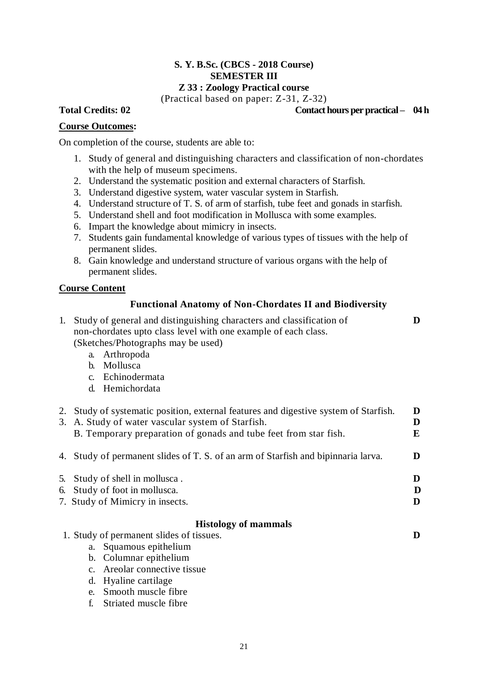### **S. Y. B.Sc. (CBCS - 2018 Course) SEMESTER III Z 33 : Zoology Practical course**

(Practical based on paper: Z-31, Z-32)

#### Total Credits:  $02$  Contact hours per practical – 04 h

### **Course Outcomes:**

On completion of the course, students are able to:

- 1. Study of general and distinguishing characters and classification of non-chordates with the help of museum specimens.
- 2. Understand the systematic position and external characters of Starfish.
- 3. Understand digestive system, water vascular system in Starfish.
- 4. Understand structure of T. S. of arm of starfish, tube feet and gonads in starfish.
- 5. Understand shell and foot modification in Mollusca with some examples.
- 6. Impart the knowledge about mimicry in insects.
- 7. Students gain fundamental knowledge of various types of tissues with the help of permanent slides.
- 8. Gain knowledge and understand structure of various organs with the help of permanent slides.

#### **Course Content**

## **Functional Anatomy of Non-Chordates II and Biodiversity**

| 1. Study of general and distinguishing characters and classification of |  |
|-------------------------------------------------------------------------|--|
| non-chordates upto class level with one example of each class.          |  |
| (Sketches/Photographs may be used)                                      |  |

ographs may be used)

- a. Arthropoda
- b. Mollusca
- c. Echinodermata
- d. Hemichordata

| 2. Study of systematic position, external features and digestive system of Starfish. | D |
|--------------------------------------------------------------------------------------|---|
| 3. A. Study of water vascular system of Starfish.                                    | D |
| B. Temporary preparation of gonads and tube feet from star fish.                     | E |
| 4. Study of permanent slides of T. S. of an arm of Starfish and bipinnaria larva.    | D |

| 5. Study of shell in mollusca.  |  |
|---------------------------------|--|
| 6. Study of foot in mollusca.   |  |
| 7. Study of Mimicry in insects. |  |
|                                 |  |

## **Histology of mammals**

1. Study of permanent slides of tissues. **D**

- a. Squamous epithelium
- b. Columnar epithelium
- c. Areolar connective tissue
- d. Hyaline cartilage
- e. Smooth muscle fibre
- f. Striated muscle fibre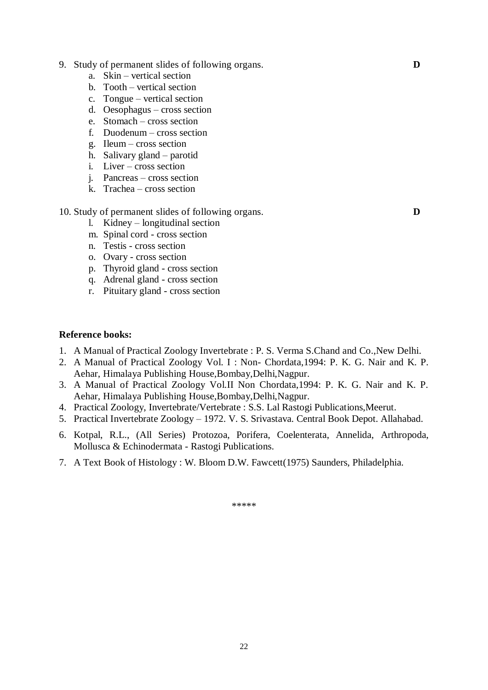- 9. Study of permanent slides of following organs. **D**
	- a. Skin vertical section
	- b. Tooth vertical section
	- c. Tongue vertical section
	- d. Oesophagus cross section
	- e. Stomach cross section
	- f. Duodenum cross section
	- g. Ileum cross section
	- h. Salivary gland parotid
	- i. Liver cross section
	- j. Pancreas cross section
	- k. Trachea cross section

10. Study of permanent slides of following organs. **D**

- l. Kidney longitudinal section m. Spinal cord - cross section
- n. Testis cross section
- o. Ovary cross section
- p. Thyroid gland cross section
- q. Adrenal gland cross section
- r. Pituitary gland cross section

#### **Reference books:**

- 1. A Manual of Practical Zoology Invertebrate : P. S. Verma S.Chand and Co.,New Delhi.
- 2. A Manual of Practical Zoology Vol. I : Non- Chordata,1994: P. K. G. Nair and K. P. Aehar, Himalaya Publishing House,Bombay,Delhi,Nagpur.
- 3. A Manual of Practical Zoology Vol.II Non Chordata,1994: P. K. G. Nair and K. P. Aehar, Himalaya Publishing House,Bombay,Delhi,Nagpur.
- 4. Practical Zoology, Invertebrate/Vertebrate : S.S. Lal Rastogi Publications,Meerut.
- 5. Practical Invertebrate Zoology 1972. V. S. Srivastava. Central Book Depot. Allahabad.
- 6. Kotpal, R.L., (All Series) Protozoa, Porifera, Coelenterata, Annelida, Arthropoda, Mollusca & Echinodermata - Rastogi Publications.
- 7. A Text Book of Histology : W. Bloom D.W. Fawcett(1975) Saunders, Philadelphia.

\*\*\*\*\*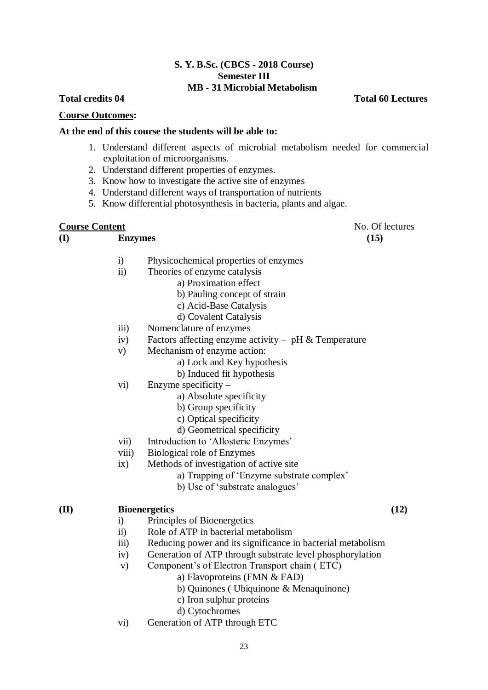### **S. Y. B.Sc. (CBCS - 2018 Course) Semester III MB - 31 Microbial Metabolism**

#### **Course Outcomes:**

### **At the end of this course the students will be able to:**

- 1. Understand different aspects of microbial metabolism needed for commercial exploitation of microorganisms.
- 2. Understand different properties of enzymes.
- 3. Know how to investigate the active site of enzymes
- 4. Understand different ways of transportation of nutrients
- 5. Know differential photosynthesis in bacteria, plants and algae.

## **Course Content** No. Of lectures

**(I) Enzymes (15)**

- i) Physicochemical properties of enzymes
- ii) Theories of enzyme catalysis
	- a) Proximation effect
	- b) Pauling concept of strain
	- c) Acid-Base Catalysis
	- d) Covalent Catalysis
- iii) Nomenclature of enzymes
- iv) Factors affecting enzyme activity pH  $&$  Temperature
- v) Mechanism of enzyme action:
	- a) Lock and Key hypothesis
	- b) Induced fit hypothesis
- vi) Enzyme specificity **–**
	- a) Absolute specificity
	- b) Group specificity
	- c) Optical specificity
	- d) Geometrical specificity
- vii) Introduction to 'Allosteric Enzymes'
- viii) Biological role of Enzymes
- ix) Methods of investigation of active site
	- a) Trapping of 'Enzyme substrate complex'
	- b) Use of 'substrate analogues'

### **(II) Bioenergetics (12)**

- i) Principles of Bioenergetics
- ii) Role of ATP in bacterial metabolism
- iii) Reducing power and its significance in bacterial metabolism
- iv) Generation of ATP through substrate level phosphorylation
- v) Component's of Electron Transport chain ( ETC)
	- a) Flavoproteins (FMN & FAD)
	- b) Quinones ( Ubiquinone & Menaquinone)
	- c) Iron sulphur proteins
	- d) Cytochromes
- vi) Generation of ATP through ETC

**Total credits 04 Total 60 Lectures**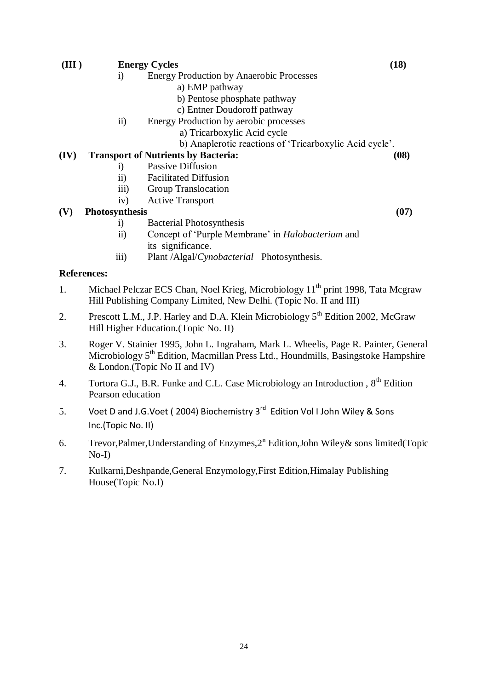| (III)                                           |                    | <b>Energy Cycles</b>                                     | (18) |
|-------------------------------------------------|--------------------|----------------------------------------------------------|------|
|                                                 | $\rm i)$           | <b>Energy Production by Anaerobic Processes</b>          |      |
|                                                 |                    | a) EMP pathway                                           |      |
|                                                 |                    | b) Pentose phosphate pathway                             |      |
|                                                 |                    | c) Entner Doudoroff pathway                              |      |
|                                                 | $\rm ii)$          | Energy Production by aerobic processes                   |      |
|                                                 |                    | a) Tricarboxylic Acid cycle                              |      |
|                                                 |                    | b) Anaplerotic reactions of 'Tricarboxylic Acid cycle'.  |      |
| (IV)                                            |                    | <b>Transport of Nutrients by Bacteria:</b>               | (08) |
|                                                 | $\rm i)$           | Passive Diffusion                                        |      |
| $\overline{11}$<br><b>Facilitated Diffusion</b> |                    |                                                          |      |
|                                                 | iii)               | Group Translocation                                      |      |
|                                                 | iv)                | <b>Active Transport</b>                                  |      |
| (V)                                             | Photosynthesis     |                                                          | (07) |
|                                                 | $\rm i)$           | <b>Bacterial Photosynthesis</b>                          |      |
|                                                 | $\mathbf{ii}$      | Concept of 'Purple Membrane' in <i>Halobacterium</i> and |      |
|                                                 |                    | its significance.                                        |      |
|                                                 | iii)               | Plant /Algal/Cynobacterial Photosynthesis.               |      |
|                                                 | <b>References:</b> |                                                          |      |

- 1. Michael Pelczar ECS Chan, Noel Krieg, Microbiology 11<sup>th</sup> print 1998, Tata Mcgraw Hill Publishing Company Limited, New Delhi. (Topic No. II and III)
- 2. Prescott L.M., J.P. Harley and D.A. Klein Microbiology  $5<sup>th</sup>$  Edition 2002, McGraw Hill Higher Education.(Topic No. II)
- 3. Roger V. Stainier 1995, John L. Ingraham, Mark L. Wheelis, Page R. Painter, General Microbiology 5<sup>th</sup> Edition, Macmillan Press Ltd., Houndmills, Basingstoke Hampshire & London.(Topic No II and IV)
- 4. Tortora G.J., B.R. Funke and C.L. Case Microbiology an Introduction, 8<sup>th</sup> Edition Pearson education
- 5. Voet D and J.G.Voet (2004) Biochemistry 3<sup>rd</sup> Edition Vol I John Wiley & Sons Inc.(Topic No. II)
- 6. Trevor, Palmer, Understanding of Enzymes, 2<sup>n</sup> Edition, John Wiley & sons limited (Topic No-I)
- 7. Kulkarni,Deshpande,General Enzymology,First Edition,Himalay Publishing House(Topic No.I)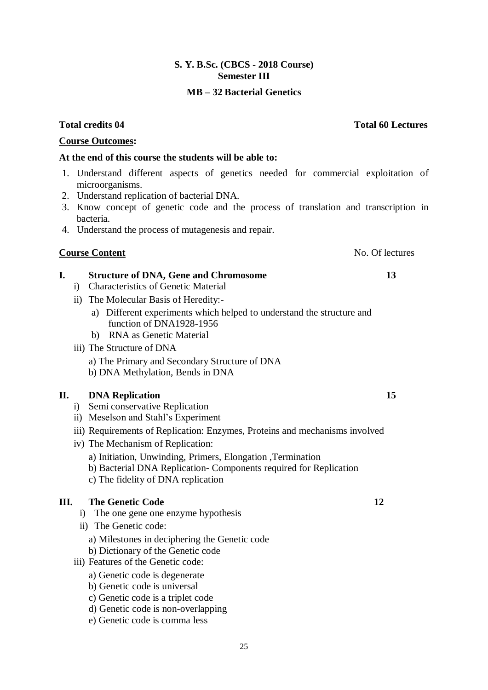## **S. Y. B.Sc. (CBCS - 2018 Course) Semester III**

## **MB – 32 Bacterial Genetics**

## **Course Outcomes:**

## **At the end of this course the students will be able to:**

- 1. Understand different aspects of genetics needed for commercial exploitation of microorganisms.
- 2. Understand replication of bacterial DNA.
- 3. Know concept of genetic code and the process of translation and transcription in bacteria.
- 4. Understand the process of mutagenesis and repair.

## **Course Content**  No. Of lectures

## **I. Structure of DNA, Gene and Chromosome 13**

- i) Characteristics of Genetic Material
- ii) The Molecular Basis of Heredity:
	- a) Different experiments which helped to understand the structure and function of DNA1928-1956
	- b) RNA as Genetic Material
- iii) The Structure of DNA
	- a) The Primary and Secondary Structure of DNA
	- b) DNA Methylation, Bends in DNA

## **II.** DNA Replication 15

- i) Semi conservative Replication
- ii) Meselson and Stahl's Experiment
- iii) Requirements of Replication: Enzymes, Proteins and mechanisms involved
- iv) The Mechanism of Replication:
	- a) Initiation, Unwinding, Primers, Elongation, Termination
	- b) Bacterial DNA Replication- Components required for Replication
	- c) The fidelity of DNA replication

## **III.** The Genetic Code 12

- i) The one gene one enzyme hypothesis
- ii) The Genetic code:
	- a) Milestones in deciphering the Genetic code
	- b) Dictionary of the Genetic code
- iii) Features of the Genetic code:
	- a) Genetic code is degenerate
	- b) Genetic code is universal
	- c) Genetic code is a triplet code
	- d) Genetic code is non-overlapping
	- e) Genetic code is comma less

**Total credits 04 Total 60 Lectures**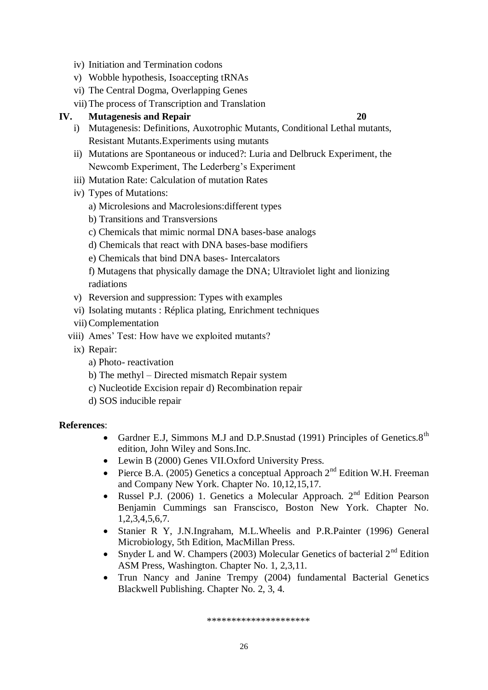- iv) Initiation and Termination codons
- v) Wobble hypothesis, Isoaccepting tRNAs
- vi) The Central Dogma, Overlapping Genes
- vii)The process of Transcription and Translation

## **IV. Mutagenesis and Repair 20**

- i) Mutagenesis: Definitions, Auxotrophic Mutants, Conditional Lethal mutants, Resistant Mutants.Experiments using mutants
- ii) Mutations are Spontaneous or induced?: Luria and Delbruck Experiment, the Newcomb Experiment, The Lederberg's Experiment
- iii) Mutation Rate: Calculation of mutation Rates
- iv) Types of Mutations:
	- a) Microlesions and Macrolesions:different types
	- b) Transitions and Transversions
	- c) Chemicals that mimic normal DNA bases-base analogs
	- d) Chemicals that react with DNA bases-base modifiers
	- e) Chemicals that bind DNA bases- Intercalators
	- f) Mutagens that physically damage the DNA; Ultraviolet light and lionizing radiations
- v) Reversion and suppression: Types with examples
- vi) Isolating mutants : Réplica plating, Enrichment techniques
- vii)Complementation
- viii) Ames' Test: How have we exploited mutants?
	- ix) Repair:
		- a) Photo- reactivation
		- b) The methyl Directed mismatch Repair system
		- c) Nucleotide Excision repair d) Recombination repair
		- d) SOS inducible repair

### **References**:

- Gardner E.J, Simmons M.J and D.P.Snustad (1991) Principles of Genetics.8<sup>th</sup> edition, John Wiley and Sons.Inc.
- Lewin B (2000) Genes VII.Oxford University Press.
- Pierce B.A. (2005) Genetics a conceptual Approach  $2<sup>nd</sup>$  Edition W.H. Freeman and Company New York. Chapter No. 10,12,15,17.
- Russel P.J. (2006) 1. Genetics a Molecular Approach.  $2<sup>nd</sup>$  Edition Pearson Benjamin Cummings san Franscisco, Boston New York. Chapter No. 1,2,3,4,5,6,7.
- Stanier R Y, J.N.Ingraham, M.L.Wheelis and P.R.Painter (1996) General Microbiology, 5th Edition, MacMillan Press.
- Snyder L and W. Champers (2003) Molecular Genetics of bacterial  $2<sup>nd</sup>$  Edition ASM Press, Washington. Chapter No. 1, 2,3,11.
- Trun Nancy and Janine Trempy (2004) fundamental Bacterial Genetics Blackwell Publishing. Chapter No. 2, 3, 4.

\*\*\*\*\*\*\*\*\*\*\*\*\*\*\*\*\*\*\*\*\*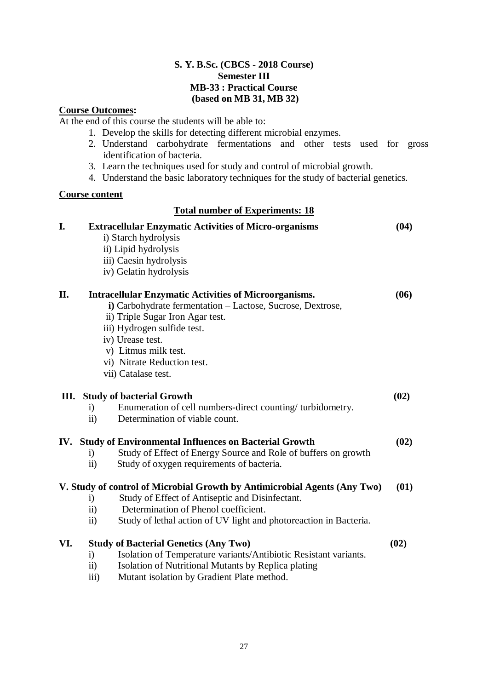## **S. Y. B.Sc. (CBCS - 2018 Course) Semester III MB-33 : Practical Course (based on MB 31, MB 32)**

## **Course Outcomes:**

At the end of this course the students will be able to:

- 1. Develop the skills for detecting different microbial enzymes.
- 2. Understand carbohydrate fermentations and other tests used for gross identification of bacteria.
- 3. Learn the techniques used for study and control of microbial growth.
- 4. Understand the basic laboratory techniques for the study of bacterial genetics.

### **Course content**

## **Total number of Experiments: 18**

| I.  | <b>Extracellular Enzymatic Activities of Micro-organisms</b><br>i) Starch hydrolysis<br>ii) Lipid hydrolysis<br>iii) Caesin hydrolysis<br>iv) Gelatin hydrolysis | (04) |
|-----|------------------------------------------------------------------------------------------------------------------------------------------------------------------|------|
| II. | <b>Intracellular Enzymatic Activities of Microorganisms.</b><br>i) Carbohydrate fermentation - Lactose, Sucrose, Dextrose,                                       | (06) |
|     | ii) Triple Sugar Iron Agar test.                                                                                                                                 |      |
|     | iii) Hydrogen sulfide test.                                                                                                                                      |      |
|     | iv) Urease test.                                                                                                                                                 |      |
|     | v) Litmus milk test.<br>vi) Nitrate Reduction test.                                                                                                              |      |
|     | vii) Catalase test.                                                                                                                                              |      |
|     |                                                                                                                                                                  |      |
| Ш.  | <b>Study of bacterial Growth</b>                                                                                                                                 | (02) |
|     | Enumeration of cell numbers-direct counting/turbidometry.<br>$\ddot{a}$                                                                                          |      |
|     | Determination of viable count.<br>$\overline{ii}$                                                                                                                |      |
|     | IV. Study of Environmental Influences on Bacterial Growth                                                                                                        | (02) |
|     | Study of Effect of Energy Source and Role of buffers on growth<br>$\rm i)$                                                                                       |      |
|     | Study of oxygen requirements of bacteria.<br>$\overline{11}$                                                                                                     |      |
|     | V. Study of control of Microbial Growth by Antimicrobial Agents (Any Two)                                                                                        | (01) |
|     | Study of Effect of Antiseptic and Disinfectant.<br>$\mathbf{i}$                                                                                                  |      |
|     | Determination of Phenol coefficient.<br>$\rm ii)$                                                                                                                |      |
|     | Study of lethal action of UV light and photoreaction in Bacteria.<br>$\rm ii)$                                                                                   |      |
| VI. | <b>Study of Bacterial Genetics (Any Two)</b>                                                                                                                     | (02) |
|     | Isolation of Temperature variants/Antibiotic Resistant variants.<br>$\mathbf{i}$                                                                                 |      |
|     | Isolation of Nutritional Mutants by Replica plating<br>$\overline{11}$                                                                                           |      |

iii) Mutant isolation by Gradient Plate method.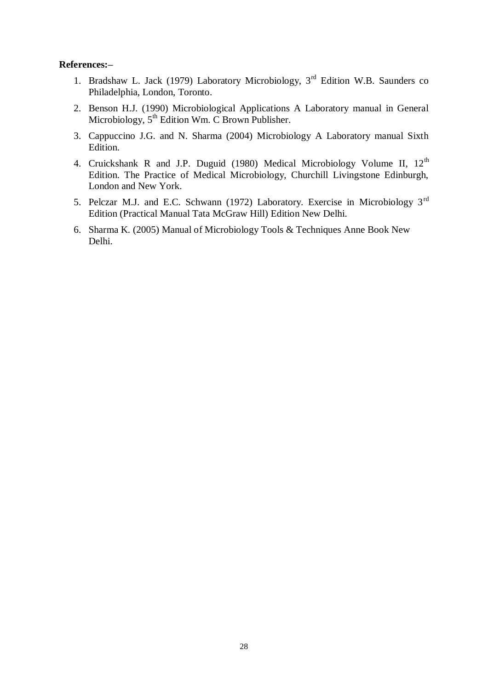#### **References:–**

- 1. Bradshaw L. Jack (1979) Laboratory Microbiology, 3rd Edition W.B. Saunders co Philadelphia, London, Toronto.
- 2. Benson H.J. (1990) Microbiological Applications A Laboratory manual in General Microbiology,  $5<sup>th</sup>$  Edition Wm. C Brown Publisher.
- 3. Cappuccino J.G. and N. Sharma (2004) Microbiology A Laboratory manual Sixth Edition.
- 4. Cruickshank R and J.P. Duguid (1980) Medical Microbiology Volume II, 12<sup>th</sup> Edition. The Practice of Medical Microbiology, Churchill Livingstone Edinburgh, London and New York.
- 5. Pelczar M.J. and E.C. Schwann (1972) Laboratory. Exercise in Microbiology 3rd Edition (Practical Manual Tata McGraw Hill) Edition New Delhi.
- 6. Sharma K. (2005) Manual of Microbiology Tools & Techniques Anne Book New Delhi.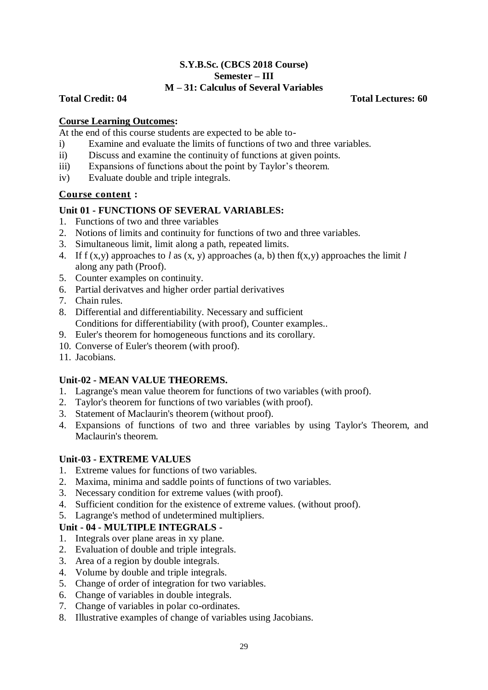### **S.Y.B.Sc. (CBCS 2018 Course) Semester – III M – 31: Calculus of Several Variables**

## **Total Credit: 04 Total Lectures: 60**

## **Course Learning Outcomes:**

At the end of this course students are expected to be able to-

- i) Examine and evaluate the limits of functions of two and three variables.
- ii) Discuss and examine the continuity of functions at given points.
- iii) Expansions of functions about the point by Taylor's theorem.
- iv) Evaluate double and triple integrals.

## **Course content :**

## **Unit 01 - FUNCTIONS OF SEVERAL VARIABLES:**

- 1. Functions of two and three variables
- 2. Notions of limits and continuity for functions of two and three variables.
- 3. Simultaneous limit, limit along a path, repeated limits.
- 4. If f (x,y) approaches to *l* as (x, y) approaches (a, b) then f(x,y) approaches the limit *l* along any path (Proof).
- 5. Counter examples on continuity.
- 6. Partial derivatves and higher order partial derivatives
- 7. Chain rules.
- 8. Differential and differentiability. Necessary and sufficient Conditions for differentiability (with proof), Counter examples..
- 9. Euler's theorem for homogeneous functions and its corollary.
- 10. Converse of Euler's theorem (with proof).
- 11. Jacobians.

## **Unit-02 - MEAN VALUE THEOREMS.**

- 1. Lagrange's mean value theorem for functions of two variables (with proof).
- 2. Taylor's theorem for functions of two variables (with proof).
- 3. Statement of Maclaurin's theorem (without proof).
- 4. Expansions of functions of two and three variables by using Taylor's Theorem, and Maclaurin's theorem.

### **Unit-03 - EXTREME VALUES**

- 1. Extreme values for functions of two variables.
- 2. Maxima, minima and saddle points of functions of two variables.
- 3. Necessary condition for extreme values (with proof).
- 4. Sufficient condition for the existence of extreme values. (without proof).
- 5. Lagrange's method of undetermined multipliers.

### **Unit - 04 - MULTIPLE INTEGRALS -**

- 1. Integrals over plane areas in xy plane.
- 2. Evaluation of double and triple integrals.
- 3. Area of a region by double integrals.
- 4. Volume by double and triple integrals.
- 5. Change of order of integration for two variables.
- 6. Change of variables in double integrals.
- 7. Change of variables in polar co-ordinates.
- 8. Illustrative examples of change of variables using Jacobians.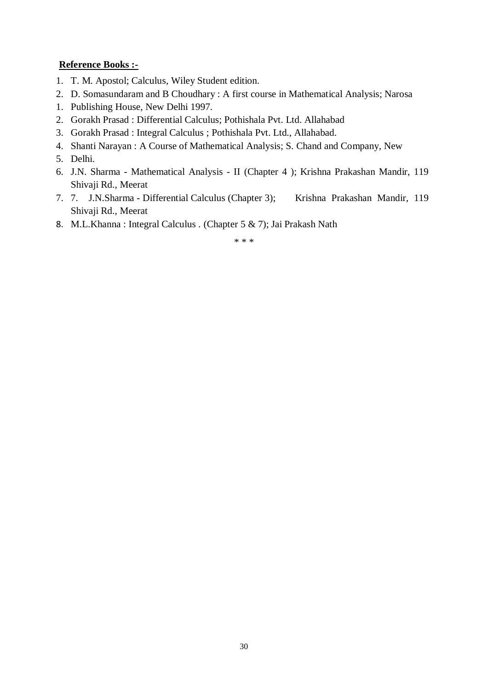## **Reference Books :-**

- 1. T. M. Apostol; Calculus, Wiley Student edition.
- 2. D. Somasundaram and B Choudhary : A first course in Mathematical Analysis; Narosa
- 1. Publishing House, New Delhi 1997.
- 2. Gorakh Prasad : Differential Calculus; Pothishala Pvt. Ltd. Allahabad
- 3. Gorakh Prasad : Integral Calculus ; Pothishala Pvt. Ltd., Allahabad.
- 4. Shanti Narayan : A Course of Mathematical Analysis; S. Chand and Company, New
- 5. Delhi.
- 6. J.N. Sharma Mathematical Analysis II (Chapter 4 ); Krishna Prakashan Mandir, 119 Shivaji Rd., Meerat
- 7. 7. J.N.Sharma Differential Calculus (Chapter 3); Krishna Prakashan Mandir, 119 Shivaji Rd., Meerat
- 8. M.L.Khanna : Integral Calculus . (Chapter 5 & 7); Jai Prakash Nath

\* \* \*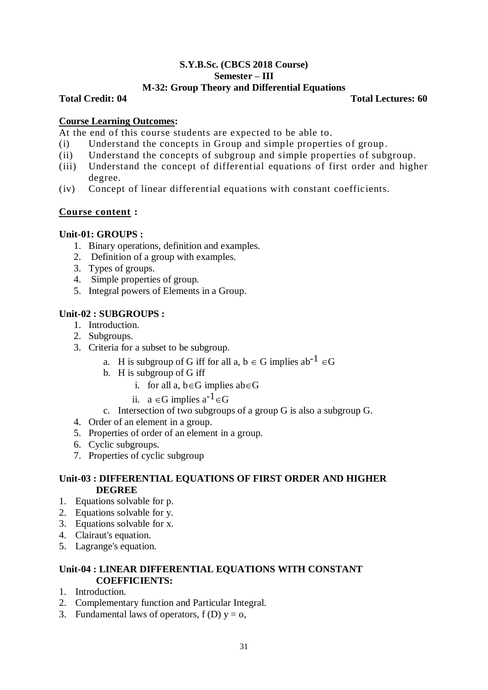# **S.Y.B.Sc. (CBCS 2018 Course) Semester – III**

## **M-32: Group Theory and Differential Equations**

**Total Credit: 04 Total Lectures: 60**

## **Course Learning Outcomes:**

At the end of this course students are expected to be able to.

- (i) Understand the concepts in Group and simple properties of group .
- (ii) Understand the concepts of subgroup and simple properties of subgroup.
- (iii) Understand the concept of differential equations of first order and higher degree.
- (iv) Concept of linear differential equations with constant coefficients.

## **Course content :**

## **Unit-01: GROUPS :**

- 1. Binary operations, definition and examples.
- 2. Definition of a group with examples.
- 3. Types of groups.
- 4. Simple properties of group.
- 5. Integral powers of Elements in a Group.

## **Unit-02 : SUBGROUPS :**

- 1. Introduction.
- 2. Subgroups.
- 3. Criteria for a subset to be subgroup.
	- a. H is subgroup of G iff for all a,  $b \in G$  implies ab<sup>-1</sup>  $\in G$
	- b. H is subgroup of G iff
		- i. for all a,  $b \in G$  implies ab $\in G$
		- ii.  $a \in G$  implies  $a^{-1} \in G$
	- c. Intersection of two subgroups of a group G is also a subgroup G.
- 4. Order of an element in a group.
- 5. Properties of order of an element in a group.
- 6. Cyclic subgroups.
- 7. Properties of cyclic subgroup

## **Unit-03 : DIFFERENTIAL EQUATIONS OF FIRST ORDER AND HIGHER DEGREE**

- 1. Equations solvable for p.
- 2. Equations solvable for y.
- 3. Equations solvable for x.
- 4. Clairaut's equation.
- 5. Lagrange's equation.

## **Unit-04 : LINEAR DIFFERENTIAL EQUATIONS WITH CONSTANT COEFFICIENTS:**

- 1. Introduction.
- 2. Complementary function and Particular Integral.
- 3. Fundamental laws of operators,  $f(D)$   $y = 0$ ,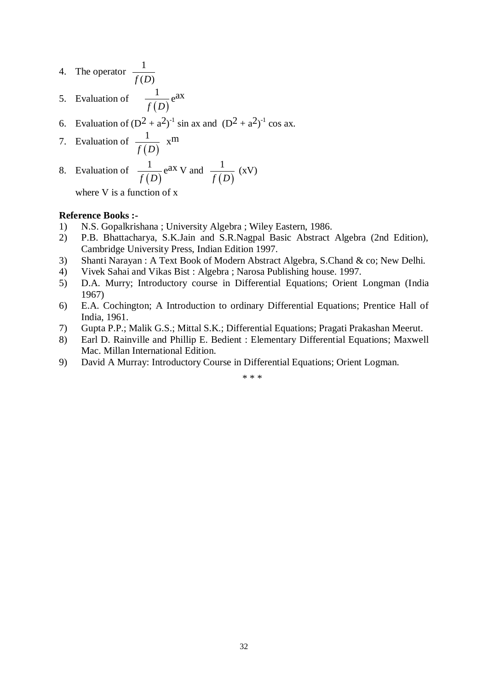4. The operator 
$$
\frac{1}{f(D)}
$$

- 5. Evaluation of  $(D)$ 1 *f D* e ax
- 6. Evaluation of  $(D^2 + a^2)^{-1}$  sin ax and  $(D^2 + a^2)^{-1}$  cos ax.
- 7. Evaluation of  $(D)$ 1 *f D* xm

8. Evaluation of 
$$
\frac{1}{f(D)}e^{ax}V
$$
 and  $\frac{1}{f(D)}(xV)$ 

where V is a function of x

#### **Reference Books :-**

- 1) N.S. Gopalkrishana ; University Algebra ; Wiley Eastern, 1986.
- 2) P.B. Bhattacharya, S.K.Jain and S.R.Nagpal Basic Abstract Algebra (2nd Edition), Cambridge University Press, Indian Edition 1997.
- 3) Shanti Narayan : A Text Book of Modern Abstract Algebra, S.Chand & co; New Delhi.
- 4) Vivek Sahai and Vikas Bist : Algebra ; Narosa Publishing house. 1997.
- 5) D.A. Murry; Introductory course in Differential Equations; Orient Longman (India 1967)
- 6) E.A. Cochington; A Introduction to ordinary Differential Equations; Prentice Hall of India, 1961.
- 7) Gupta P.P.; Malik G.S.; Mittal S.K.; Differential Equations; Pragati Prakashan Meerut.
- 8) Earl D. Rainville and Phillip E. Bedient : Elementary Differential Equations; Maxwell Mac. Millan International Edition.
- 9) David A Murray: Introductory Course in Differential Equations; Orient Logman.

\* \* \*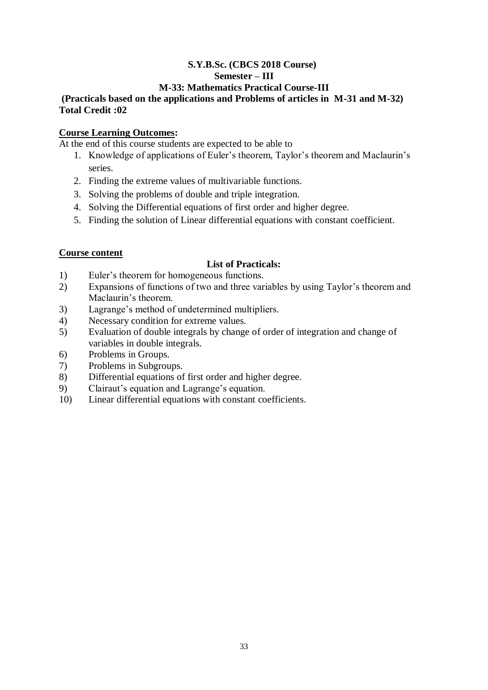## **S.Y.B.Sc. (CBCS 2018 Course) Semester – III**

## **M-33: Mathematics Practical Course-III**

## **(Practicals based on the applications and Problems of articles in M-31 and M-32) Total Credit :02**

## **Course Learning Outcomes:**

At the end of this course students are expected to be able to

- 1. Knowledge of applications of Euler's theorem, Taylor's theorem and Maclaurin's series.
- 2. Finding the extreme values of multivariable functions.
- 3. Solving the problems of double and triple integration.
- 4. Solving the Differential equations of first order and higher degree.
- 5. Finding the solution of Linear differential equations with constant coefficient.

## **Course content**

## **List of Practicals:**

- 1) Euler's theorem for homogeneous functions.
- 2) Expansions of functions of two and three variables by using Taylor's theorem and Maclaurin's theorem.
- 3) Lagrange's method of undetermined multipliers.
- 4) Necessary condition for extreme values.
- 5) Evaluation of double integrals by change of order of integration and change of variables in double integrals.
- 6) Problems in Groups.
- 7) Problems in Subgroups.
- 8) Differential equations of first order and higher degree.
- 9) Clairaut's equation and Lagrange's equation.
- 10) Linear differential equations with constant coefficients.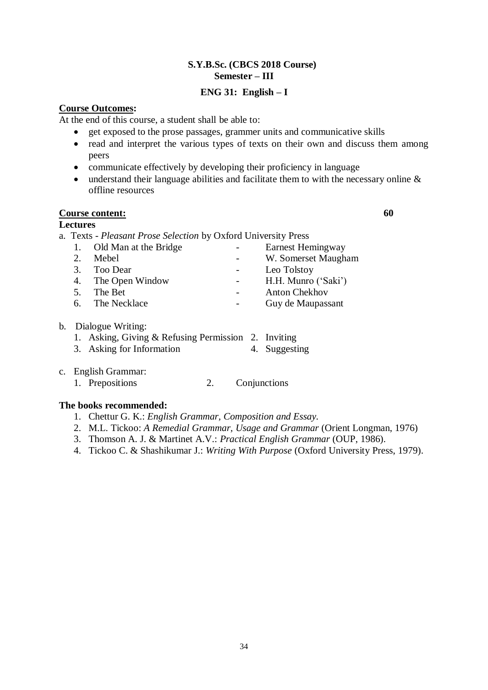### **S.Y.B.Sc. (CBCS 2018 Course) Semester – III**

## **ENG 31: English – I**

## **Course Outcomes:**

At the end of this course, a student shall be able to:

- get exposed to the prose passages, grammer units and communicative skills
- read and interpret the various types of texts on their own and discuss them among peers
- communicate effectively by developing their proficiency in language
- understand their language abilities and facilitate them to with the necessary online & offline resources

## **Course content: 60**

**Lectures**

a. Texts - *Pleasant Prose Selection* by Oxford University Press

|    | 1. Old Man at the Bridge |                  | Earnest Hemingway    |
|----|--------------------------|------------------|----------------------|
| 2. | Mebel                    | $\sim$ 100 $\mu$ | W. Somerset Maugham  |
|    | 3. Too Dear              |                  | Leo Tolstoy          |
|    | 4. The Open Window       |                  | H.H. Munro ('Saki')  |
|    | 5. The Bet               |                  | <b>Anton Chekhov</b> |
|    | 6. The Necklace          |                  | Guy de Maupassant    |
|    |                          |                  |                      |

- b. Dialogue Writing:
	- 1. Asking, Giving & Refusing Permission 2. Inviting
	- 3. Asking for Information 4. Suggesting
- c. English Grammar:
	- 1. Prepositions 2. Conjunctions

## **The books recommended:**

- 1. Chettur G. K.: *English Grammar, Composition and Essay.*
- 2. M.L. Tickoo: *A Remedial Grammar, Usage and Grammar* (Orient Longman, 1976)
- 3. Thomson A. J. & Martinet A.V.: *Practical English Grammar* (OUP, 1986).
- 4. Tickoo C. & Shashikumar J.: *Writing With Purpose* (Oxford University Press, 1979).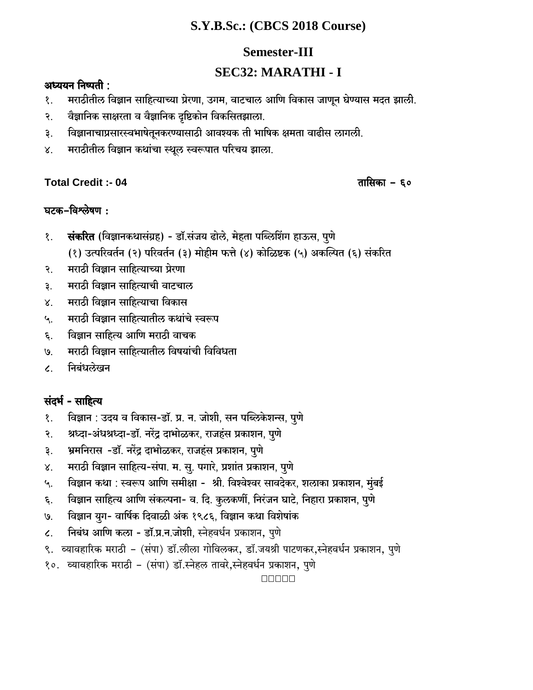# **S.Y.B.Sc.: (CBCS 2018 Course)**

# **Semester-III**

# **SEC32: MARATHI - I**

# अध्ययन $f$ निष्पती:

- १. मराठीतील विज्ञान साहित्याच्या प्रेरणा, उगम, वाटचाल आणि विकास जाणून घेण्यास मदत झाली.
- २. वैज्ञानिक साक्षरता व वैज्ञानिक दृष्टिकोन विकसितझाला.
- ३. विज्ञानाचाप्रसारस्वभाषेतूनकरण्यासाठी आवश्यक ती भाषिक क्षमता वाढीस लागली.
- ४. मराठीतील विज्ञान कथांचा स्थूल स्वरूपात परिचय झाला.

# **Total Credit :- 04** Vm{gH\$m - 60

# घटक-विश्लेषण :

- १. संकरित (विज्ञानकथासंग्रह) डॉ.संजय ढोले, मेहता पब्लिशिंग हाऊस, पुणे
	- (१) उत्परिवर्तन (२) परिवर्तन (३) मोहीम फत्ते (४) कोळिष्टक (५) अकल्पित (६) संकरित
- २. मराठी विज्ञान साहित्याच्या प्रेरणा
- ३. . मराठी विज्ञान साहित्याची वाटचाल
- ४. मराठी विज्ञान साहित्याचा विकास
- ५. \_ मराठी विज्ञान साहित्यातील कथांचे स्वरूप
- $\epsilon$ . विज्ञान साहित्य आणि मराठी वाचक
- ७. मराठी विज्ञान साहित्यातील विषयांची विविधता
- ८. निबंधलेखन

# संदर्भ - साहित्य

- १. विज्ञान : उदय व विकास-डॉ. प्र. न. जोशी, सन पब्लिकेशन्स, पूणे
- २. श्रध्दा-अंधश्रध्दा-डॉ. नरेंद्र दाभोळकर, राजहंस प्रकाशन, पुणे
- ३. श्रमनिरास -डॉ. नरेंद्र दाभोळकर, राजहंस प्रकाशन, पूणे
- ४. मराठी विज्ञान साहित्य-संपा. म. सु. पगारे, प्रशांत प्रकाशन, पुणे
- ५. विज्ञान कथा : स्वरूप आणि समीक्षा श्री. विश्वेश्वर सावदेकर, शलाका प्रकाशन, मुंबई
- ६. विज्ञान साहित्य आणि संकल्पना- व. दि. कुलकर्णी, निरंजन घाटे, निहारा प्रकाशन, पुणे
- ७. विज्ञान युग- वार्षिक दिवाळी अंक १९८६, विज्ञान कथा विशेषांक
- ८. सिबंध आणि कला डॉ.प्र.न.जोशी, स्नेहवर्धन प्रकाशन, पुणे
- ९. व्यावहारिक मराठी (संपा) डॉ.लीला गोविलकर, डॉ.जयश्री पाटणकर,स्नेहवर्धन प्रकाशन, पुणे
- १०. व्यावहारिक मराठी (संपा) डॉ.स्नेहल तावरे,स्नेहवर्धन प्रकाशन, पुणे

00000